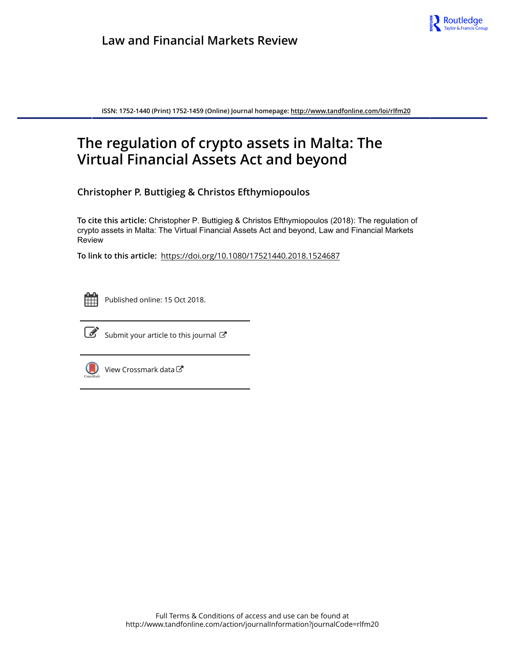

**ISSN: 1752-1440 (Print) 1752-1459 (Online) Journal homepage:<http://www.tandfonline.com/loi/rlfm20>**

## **The regulation of crypto assets in Malta: The Virtual Financial Assets Act and beyond**

**Christopher P. Buttigieg & Christos Efthymiopoulos**

**To cite this article:** Christopher P. Buttigieg & Christos Efthymiopoulos (2018): The regulation of crypto assets in Malta: The Virtual Financial Assets Act and beyond, Law and Financial Markets Review

**To link to this article:** <https://doi.org/10.1080/17521440.2018.1524687>



Published online: 15 Oct 2018.



 $\overrightarrow{S}$  [Submit your article to this journal](http://www.tandfonline.com/action/authorSubmission?journalCode=rlfm20&show=instructions)  $\overrightarrow{S}$ 



 $\bigcirc$  [View Crossmark data](http://crossmark.crossref.org/dialog/?doi=10.1080/17521440.2018.1524687&domain=pdf&date_stamp=2018-10-15)  $\mathbb{Z}$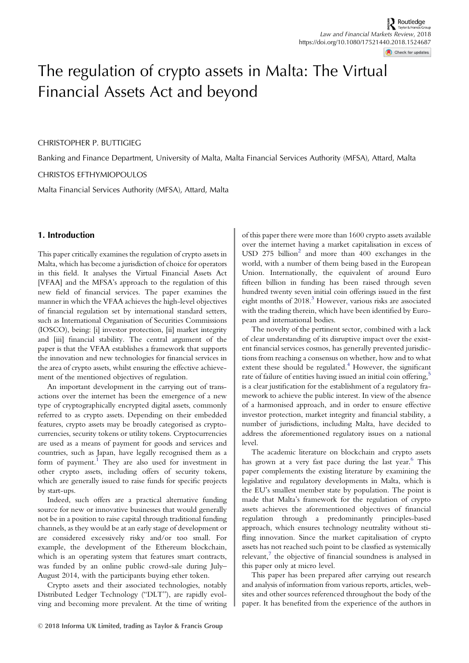# The regulation of crypto assets in Malta: The Virtual Financial Assets Act and beyond

## CHRISTOPHER P. BUTTIGIEG

Banking and Finance Department, University of Malta, Malta Financial Services Authority (MFSA), Attard, Malta

#### CHRISTOS EFTHYMIOPOULOS

Malta Financial Services Authority (MFSA), Attard, Malta

## 1. Introduction

This paper critically examines the regulation of crypto assets in Malta, which has become a jurisdiction of choice for operators in this field. It analyses the Virtual Financial Assets Act [VFAA] and the MFSA's approach to the regulation of this new field of financial services. The paper examines the manner in which the VFAA achieves the high-level objectives of financial regulation set by international standard setters, such as International Organisation of Securities Commissions (IOSCO), being: [i] investor protection, [ii] market integrity and [iii] financial stability. The central argument of the paper is that the VFAA establishes a framework that supports the innovation and new technologies for financial services in the area of crypto assets, whilst ensuring the effective achievement of the mentioned objectives of regulation.

An important development in the carrying out of transactions over the internet has been the emergence of a new type of cryptographically encrypted digital assets, commonly referred to as crypto assets. Depending on their embedded features, crypto assets may be broadly categorised as cryptocurrencies, security tokens or utility tokens. Cryptocurrencies are used as a means of payment for goods and services and countries, such as Japan, have legally recognised them as a form of payment.<sup>[1](#page-9-0)</sup> They are also used for investment in other crypto assets, including offers of security tokens, which are generally issued to raise funds for specific projects by start-ups.

Indeed, such offers are a practical alternative funding source for new or innovative businesses that would generally not be in a position to raise capital through traditional funding channels, as they would be at an early stage of development or are considered excessively risky and/or too small. For example, the development of the Ethereum blockchain, which is an operating system that features smart contracts, was funded by an online public crowd-sale during July– August 2014, with the participants buying ether token.

Crypto assets and their associated technologies, notably Distributed Ledger Technology ("DLT"), are rapidly evolving and becoming more prevalent. At the time of writing of this paper there were more than 1600 crypto assets available over the internet having a market capitalisation in excess of USD [2](#page-9-0)75 billion $2$  and more than 400 exchanges in the world, with a number of them being based in the European Union. Internationally, the equivalent of around Euro fifteen billion in funding has been raised through seven hundred twenty seven initial coin offerings issued in the first eight months of 2018.<sup>[3](#page-9-0)</sup> However, various risks are associated with the trading therein, which have been identified by European and international bodies.

The novelty of the pertinent sector, combined with a lack of clear understanding of its disruptive impact over the existent financial services cosmos, has generally prevented jurisdictions from reaching a consensus on whether, how and to what extent these should be regulated. $4$  However, the significant rate of failure of entities having issued an initial coin offering,<sup>[5](#page-9-0)</sup> is a clear justification for the establishment of a regulatory framework to achieve the public interest. In view of the absence of a harmonised approach, and in order to ensure effective investor protection, market integrity and financial stability, a number of jurisdictions, including Malta, have decided to address the aforementioned regulatory issues on a national level.

The academic literature on blockchain and crypto assets has grown at a very fast pace during the last year.<sup>[6](#page-9-0)</sup> This paper complements the existing literature by examining the legislative and regulatory developments in Malta, which is the EU's smallest member state by population. The point is made that Malta's framework for the regulation of crypto assets achieves the aforementioned objectives of financial regulation through a predominantly principles-based approach, which ensures technology neutrality without stifling innovation. Since the market capitalisation of crypto assets has not reached such point to be classfied as systemically  $relevant$ , $7$  the objective of financial soundness is analysed in this paper only at micro level.

This paper has been prepared after carrying out research and analysis of information from various reports, articles, websites and other sources referenced throughout the body of the paper. It has benefited from the experience of the authors in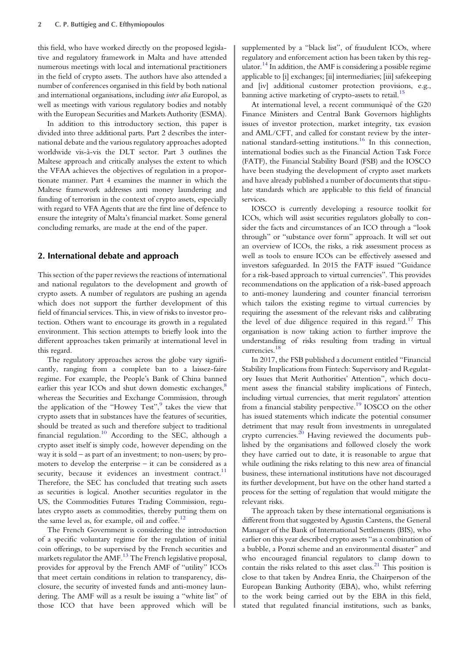this field, who have worked directly on the proposed legislative and regulatory framework in Malta and have attended numerous meetings with local and international practitioners in the field of crypto assets. The authors have also attended a number of conferences organised in this field by both national and international organisations, including inter alia Europol, as well as meetings with various regulatory bodies and notably with the European Securities and Markets Authority (ESMA).

In addition to this introductory section, this paper is divided into three additional parts. Part 2 describes the international debate and the various regulatory approaches adopted worldwide vis-à-vis the DLT sector. Part 3 outlines the Maltese approach and critically analyses the extent to which the VFAA achieves the objectives of regulation in a proportionate manner. Part 4 examines the manner in which the Maltese framework addresses anti money laundering and funding of terrorism in the context of crypto assets, especially with regard to VFA Agents that are the first line of defence to ensure the integrity of Malta's financial market. Some general concluding remarks, are made at the end of the paper.

## 2. International debate and approach

This section of the paper reviews the reactions of international and national regulators to the development and growth of crypto assets. A number of regulators are pushing an agenda which does not support the further development of this field of financial services. This, in view of risks to investor protection. Others want to encourage its growth in a regulated environment. This section attempts to briefly look into the different approaches taken primarily at international level in this regard.

The regulatory approaches across the globe vary significantly, ranging from a complete ban to a laissez-faire regime. For example, the People's Bank of China banned earlier this year ICOs and shut down domestic exchanges, $\delta$ whereas the Securities and Exchange Commission, through the application of the "Howey Test",<sup>[9](#page-9-0)</sup> takes the view that crypto assets that in substances have the features of securities, should be treated as such and therefore subject to traditional financial regulation.<sup>[10](#page-9-0)</sup> According to the SEC, although a crypto asset itself is simply code, however depending on the way it is sold – as part of an investment; to non-users; by promoters to develop the enterprise – it can be considered as a security, because it evidences an investment contract. $11$ Therefore, the SEC has concluded that treating such assets as securities is logical. Another securities regulator in the US, the Commodities Futures Trading Commission, regulates crypto assets as commodities, thereby putting them on the same level as, for example, oil and coffee.<sup>[12](#page-9-0)</sup>

The French Government is considering the introduction of a specific voluntary regime for the regulation of initial coin offerings, to be supervised by the French securities and markets regulator the AMF.<sup>[13](#page-9-0)</sup> The French legislative proposal, provides for approval by the French AMF of "utility" ICOs that meet certain conditions in relation to transparency, disclosure, the security of invested funds and anti-money laundering. The AMF will as a result be issuing a "white list" of those ICO that have been approved which will be

supplemented by a "black list", of fraudulent ICOs, where regulatory and enforcement action has been taken by this reg-ulator.<sup>[14](#page-9-0)</sup> In addition, the AMF is considering a possible regime applicable to [i] exchanges; [ii] intermediaries; [iii] safekeeping and [iv] additional customer protection provisions, e.g., banning active marketing of crypto-assets to retail.<sup>[15](#page-9-0)</sup>

At international level, a recent communiqué of the G20 Finance Ministers and Central Bank Governors highlights issues of investor protection, market integrity, tax evasion and AML/CFT, and called for constant review by the international standard-setting institutions.[16](#page-9-0) In this connection, international bodies such as the Financial Action Task Force (FATF), the Financial Stability Board (FSB) and the IOSCO have been studying the development of crypto asset markets and have already published a number of documents that stipulate standards which are applicable to this field of financial services.

IOSCO is currently developing a resource toolkit for ICOs, which will assist securities regulators globally to consider the facts and circumstances of an ICO through a "look through" or "substance over form" approach. It will set out an overview of ICOs, the risks, a risk assessment process as well as tools to ensure ICOs can be effectively assessed and investors safeguarded. In 2015 the FATF issued "Guidance for a risk-based approach to virtual currencies". This provides recommendations on the application of a risk-based approach to anti-money laundering and counter financial terrorism which tailors the existing regime to virtual currencies by requiring the assessment of the relevant risks and calibrating the level of due diligence required in this regard.<sup>[17](#page-9-0)</sup> This organisation is now taking action to further improve the understanding of risks resulting from trading in virtual currencies.[18](#page-9-0)

In 2017, the FSB published a document entitled "Financial Stability Implications from Fintech: Supervisory and Regulatory Issues that Merit Authorities' Attention", which document assess the financial stability implications of Fintech, including virtual currencies, that merit regulators' attention from a financial stability perspective.<sup>[19](#page-10-0)</sup> IOSCO on the other has issued statements which indicate the potential consumer detriment that may result from investments in unregulated crypto currencies. $^{20}$  $^{20}$  $^{20}$  Having reviewed the documents published by the organisations and followed closely the work they have carried out to date, it is reasonable to argue that while outlining the risks relating to this new area of financial business, these international institutions have not discouraged its further development, but have on the other hand started a process for the setting of regulation that would mitigate the relevant risks.

The approach taken by these international organisations is different from that suggested by Agustin Carstens, the General Manager of the Bank of International Settlements (BIS), who earlier on this year described crypto assets "as a combination of a bubble, a Ponzi scheme and an environmental disaster" and who encouraged financial regulators to clamp down to contain the risks related to this asset class.<sup>[21](#page-10-0)</sup> This position is close to that taken by Andrea Enria, the Chairperson of the European Banking Authority (EBA), who, whilst referring to the work being carried out by the EBA in this field, stated that regulated financial institutions, such as banks,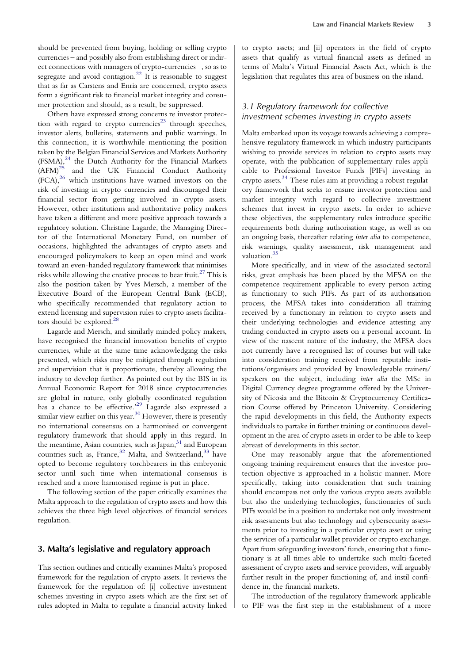should be prevented from buying, holding or selling crypto currencies – and possibly also from establishing direct or indirect connections with managers of crypto-currencies –, so as to segregate and avoid contagion.<sup>[22](#page-10-0)</sup> It is reasonable to suggest that as far as Carstens and Enria are concerned, crypto assets form a significant risk to financial market integrity and consumer protection and should, as a result, be suppressed.

Others have expressed strong concerns re investor protection with regard to crypto currencies<sup>23</sup> through speeches, investor alerts, bulletins, statements and public warnings. In this connection, it is worthwhile mentioning the position taken by the Belgian Financial Services and Markets Authority  $(FSMA)<sup>24</sup>$  $(FSMA)<sup>24</sup>$  $(FSMA)<sup>24</sup>$  the Dutch Authority for the Financial Markets  $(AFM)<sup>25</sup>$  $(AFM)<sup>25</sup>$  $(AFM)<sup>25</sup>$  and the UK Financial Conduct Authority  $(FCA)<sup>26</sup>$  $(FCA)<sup>26</sup>$  $(FCA)<sup>26</sup>$  which institutions have warned investors on the risk of investing in crypto currencies and discouraged their financial sector from getting involved in crypto assets. However, other institutions and authoritative policy makers have taken a different and more positive approach towards a regulatory solution. Christine Lagarde, the Managing Director of the International Monetary Fund, on number of occasions, highlighted the advantages of crypto assets and encouraged policymakers to keep an open mind and work toward an even-handed regulatory framework that minimises risks while allowing the creative process to bear fruit.<sup>[27](#page-10-0)</sup> This is also the position taken by Yves Mersch, a member of the Executive Board of the European Central Bank (ECB), who specifically recommended that regulatory action to extend licensing and supervision rules to crypto assets facilita-tors should be explored.<sup>[28](#page-10-0)</sup>

Lagarde and Mersch, and similarly minded policy makers, have recognised the financial innovation benefits of crypto currencies, while at the same time acknowledging the risks presented, which risks may be mitigated through regulation and supervision that is proportionate, thereby allowing the industry to develop further. As pointed out by the BIS in its Annual Economic Report for 2018 since cryptocurrencies are global in nature, only globally coordinated regulation has a chance to be effective.<sup>[29](#page-10-0)</sup> Lagarde also expressed a similar view earlier on this year. $30$  However, there is presently no international consensus on a harmonised or convergent regulatory framework that should apply in this regard. In the meantime, Asian countries, such as Japan, $31$  and European countries such as, France,<sup>[32](#page-10-0)</sup> Malta, and Switzerland,<sup>[33](#page-10-0)</sup> have opted to become regulatory torchbearers in this embryonic sector until such time when international consensus is reached and a more harmonised regime is put in place.

The following section of the paper critically examines the Malta approach to the regulation of crypto assets and how this achieves the three high level objectives of financial services regulation.

## 3. Malta's legislative and regulatory approach

This section outlines and critically examines Malta's proposed framework for the regulation of crypto assets. It reviews the framework for the regulation of: [i] collective investment schemes investing in crypto assets which are the first set of rules adopted in Malta to regulate a financial activity linked

to crypto assets; and [ii] operators in the field of crypto assets that qualify as virtual financial assets as defined in terms of Malta's Virtual Financial Assets Act, which is the legislation that regulates this area of business on the island.

## 3.1 Regulatory framework for collective investment schemes investing in crypto assets

Malta embarked upon its voyage towards achieving a comprehensive regulatory framework in which industry participants wishing to provide services in relation to crypto assets may operate, with the publication of supplementary rules applicable to Professional Investor Funds [PIFs] investing in crypto assets.<sup>[34](#page-10-0)</sup> These rules aim at providing a robust regulatory framework that seeks to ensure investor protection and market integrity with regard to collective investment schemes that invest in crypto assets. In order to achieve these objectives, the supplementary rules introduce specific requirements both during authorisation stage, as well as on an ongoing basis, thereafter relating inter alia to competence, risk warnings, quality assessment, risk management and valuation.<sup>[35](#page-10-0)</sup>

More specifically, and in view of the associated sectoral risks, great emphasis has been placed by the MFSA on the competence requirement applicable to every person acting as functionary to such PIFs. As part of its authorisation process, the MFSA takes into consideration all training received by a functionary in relation to crypto assets and their underlying technologies and evidence attesting any trading conducted in crypto assets on a personal account. In view of the nascent nature of the industry, the MFSA does not currently have a recognised list of courses but will take into consideration training received from reputable institutions/organisers and provided by knowledgeable trainers/ speakers on the subject, including inter alia the MSc in Digital Currency degree programme offered by the University of Nicosia and the Bitcoin & Cryptocurrency Certification Course offered by Princeton University. Considering the rapid developments in this field, the Authority expects individuals to partake in further training or continuous development in the area of crypto assets in order to be able to keep abreast of developments in this sector.

One may reasonably argue that the aforementioned ongoing training requirement ensures that the investor protection objective is approached in a holistic manner. More specifically, taking into consideration that such training should encompass not only the various crypto assets available but also the underlying technologies, functionaries of such PIFs would be in a position to undertake not only investment risk assessments but also technology and cybersecurity assessments prior to investing in a particular crypto asset or using the services of a particular wallet provider or crypto exchange. Apart from safeguarding investors' funds, ensuring that a functionary is at all times able to undertake such multi-faceted assessment of crypto assets and service providers, will arguably further result in the proper functioning of, and instil confidence in, the financial markets.

The introduction of the regulatory framework applicable to PIF was the first step in the establishment of a more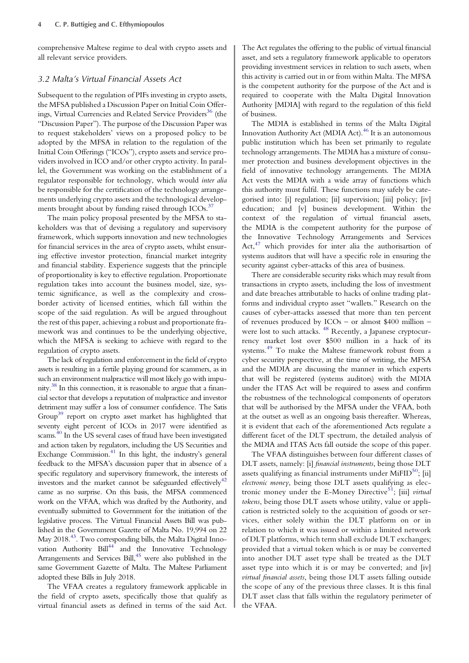comprehensive Maltese regime to deal with crypto assets and all relevant service providers.

#### 3.2 Malta's Virtual Financial Assets Act

Subsequent to the regulation of PIFs investing in crypto assets, the MFSA published a Discussion Paper on Initial Coin Offer-ings, Virtual Currencies and Related Service Providers<sup>[36](#page-10-0)</sup> (the "Discussion Paper"). The purpose of the Discussion Paper was to request stakeholders' views on a proposed policy to be adopted by the MFSA in relation to the regulation of the Initial Coin Offerings ("ICOs"), crypto assets and service providers involved in ICO and/or other crypto activity. In parallel, the Government was working on the establishment of a regulator responsible for technology, which would inter alia be responsible for the certification of the technology arrangements underlying crypto assets and the technological develop-ments brought about by funding raised through ICOs.<sup>[37](#page-10-0)</sup>

The main policy proposal presented by the MFSA to stakeholders was that of devising a regulatory and supervisory framework, which supports innovation and new technologies for financial services in the area of crypto assets, whilst ensuring effective investor protection, financial market integrity and financial stability. Experience suggests that the principle of proportionality is key to effective regulation. Proportionate regulation takes into account the business model, size, systemic significance, as well as the complexity and crossborder activity of licensed entities, which fall within the scope of the said regulation. As will be argued throughout the rest of this paper, achieving a robust and proportionate framework was and continues to be the underlying objective, which the MFSA is seeking to achieve with regard to the regulation of crypto assets.

The lack of regulation and enforcement in the field of crypto assets is resulting in a fertile playing ground for scammers, as in such an environment malpractice will most likely go with impunity[.38](#page-10-0) In this connection, it is reasonable to argue that a financial sector that develops a reputation of malpractice and investor detriment may suffer a loss of consumer confidence. The Satis Group<sup>39</sup> report on crypto asset market has highlighted that seventy eight percent of ICOs in 2017 were identified as scams.<sup>40</sup> In the US several cases of fraud have been investigated and action taken by regulators, including the US Securities and Exchange Commission.<sup>41</sup> In this light, the industry's general feedback to the MFSA's discussion paper that in absence of a specific regulatory and supervisory framework, the interests of investors and the market cannot be safeguarded effectively<sup>[42](#page-10-0)</sup> came as no surprise. On this basis, the MFSA commenced work on the VFAA, which was drafted by the Authority, and eventually submitted to Government for the initiation of the legislative process. The Virtual Financial Assets Bill was published in the Government Gazette of Malta No. 19,994 on 22 May 2018[.43](#page-10-0). Two corresponding bills, the Malta Digital Innovation Authority Bill<sup>44</sup> and the Innovative Technology Arrangements and Services Bill,<sup>45</sup> were also published in the same Government Gazette of Malta. The Maltese Parliament adopted these Bills in July 2018.

The VFAA creates a regulatory framework applicable in the field of crypto assets, specifically those that qualify as virtual financial assets as defined in terms of the said Act.

The Act regulates the offering to the public of virtual financial asset, and sets a regulatory framework applicable to operators providing investment services in relation to such assets, when this activity is carried out in or from within Malta. The MFSA is the competent authority for the purpose of the Act and is required to cooperate with the Malta Digital Innovation Authority [MDIA] with regard to the regulation of this field of business.

The MDIA is established in terms of the Malta Digital Innovation Authority Act (MDIA Act).[46](#page-10-0) It is an autonomous public institution which has been set primarily to regulate technology arrangements. The MDIA has a mixture of consumer protection and business development objectives in the field of innovative technology arrangements. The MDIA Act vests the MDIA with a wide array of functions which this authority must fulfil. These functions may safely be categorised into: [i] regulation; [ii] supervision; [iii] policy; [iv] education; and [v] business development. Within the context of the regulation of virtual financial assets, the MDIA is the competent authority for the purpose of the Innovative Technology Arrangements and Services Act,<sup>[47](#page-10-0)</sup> which provides for inter alia the authorisartion of systems auditors that will have a specific role in ensuring the security against cyber-attacks of this area of business.

There are considerable security risks which may result from transactions in crypto assets, including the loss of investment and date breaches attributable to hacks of online trading platforms and individual crypto asset "wallets." Research on the causes of cyber-attacks assessed that more than ten percent of revenues produced by ICOs – or almost \$400 million – were lost to such attacks. <sup>[48](#page-10-0)</sup> Recently, a Japanese cryptocurrency market lost over \$500 million in a hack of its systems.[49](#page-10-0) To make the Maltese framework robust from a cyber security perspective, at the time of writing, the MFSA and the MDIA are discussing the manner in which experts that will be registered (systems auditors) with the MDIA under the ITAS Act will be required to assess and confirm the robustness of the technological components of operators that will be authorised by the MFSA under the VFAA, both at the outset as well as an ongoing basis thereafter. Whereas, it is evident that each of the aforementioned Acts regulate a different facet of the DLT spectrum, the detailed analysis of the MDIA and ITAS Acts fall outside the scope of this paper.

The VFAA distinguishes between four different classes of DLT assets, namely: [i] financial instruments, being those DLT assets qualifying as financial instruments under  $MiFID<sup>50</sup>$ ; [ii] electronic money, being those DLT assets qualifying as electronic money under the E-Money Directive<sup>51</sup>; [iii] *virtual* tokens, being those DLT assets whose utility, value or application is restricted solely to the acquisition of goods or services, either solely within the DLT platform on or in relation to which it was issued or within a limited network of DLT platforms, which term shall exclude DLT exchanges; provided that a virtual token which is or may be converted into another DLT asset type shall be treated as the DLT asset type into which it is or may be converted; and [iv] virtual financial assets, being those DLT assets falling outside the scope of any of the previous three classes. It is this final DLT asset class that falls within the regulatory perimeter of the VFAA.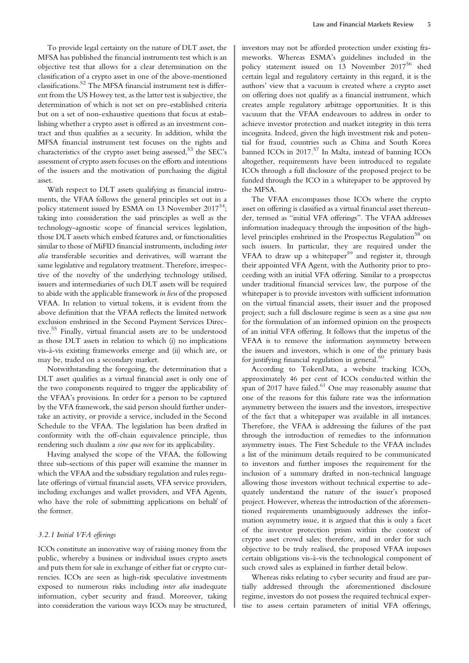To provide legal certainty on the nature of DLT asset, the MFSA has published the financial instruments test which is an objective test that allows for a clear determination on the classification of a crypto asset in one of the above-mentioned classifications.[52](#page-10-0) The MFSA financial instrument test is different from the US Howey test, as the latter test is subjective, the determination of which is not set on pre-established criteria but on a set of non-exhaustive questions that focus at establishing whether a crypto asset is offered as an investment contract and thus qualifies as a security. In addition, whilst the MFSA financial instrument test focuses on the rights and characteristics of the crypto asset being assessed,<sup>[53](#page-10-0)</sup> the SEC's assessment of crypto assets focuses on the efforts and intentions of the issuers and the motivation of purchasing the digital asset.

With respect to DLT assets qualifying as financial instruments, the VFAA follows the general principles set out in a policy statement issued by ESMA on 13 November  $2017^{54}$ ; taking into consideration the said principles as well as the technology-agnostic scope of financial services legislation, those DLT assets which embed features and, or functionalities similar to those of MiFID financial instruments, including inter alia transferable securities and derivatives, will warrant the same legislative and regulatory treatment. Therefore, irrespective of the novelty of the underlying technology utilised, issuers and intermediaries of such DLT assets will be required to abide with the applicable framework in lieu of the proposed VFAA. In relation to virtual tokens, it is evident from the above definition that the VFAA reflects the limited network exclusion enshrined in the Second Payment Services Directive[.55](#page-10-0) Finally, virtual financial assets are to be understood as those DLT assets in relation to which (i) no implications vis-à-vis existing frameworks emerge and (ii) which are, or may be, traded on a secondary market.

Notwithstanding the foregoing, the determination that a DLT asset qualifies as a virtual financial asset is only one of the two components required to trigger the applicability of the VFAA's provisions. In order for a person to be captured by the VFA framework, the said person should further undertake an activity, or provide a service, included in the Second Schedule to the VFAA. The legislation has been drafted in conformity with the off-chain equivalence principle, thus rendering such dualism a sine qua non for its applicability.

Having analysed the scope of the VFAA, the following three sub-sections of this paper will examine the manner in which the VFAA and the subsidiary regulation and rules regulate offerings of virtual financial assets, VFA service providers, including exchanges and wallet providers, and VFA Agents, who have the role of submitting applications on behalf of the former.

#### 3.2.1 Initial VFA offerings

ICOs constitute an innovative way of raising money from the public, whereby a business or individual issues crypto assets and puts them for sale in exchange of either fiat or crypto currencies. ICOs are seen as high-risk speculative investments exposed to numerous risks including inter alia inadequate information, cyber security and fraud. Moreover, taking into consideration the various ways ICOs may be structured,

investors may not be afforded protection under existing frameworks. Whereas ESMA's guidelines included in the policy statement issued on 13 November 2017<sup>[56](#page-10-0)</sup> shed certain legal and regulatory certainty in this regard, it is the authors' view that a vacuum is created where a crypto asset on offering does not qualify as a financial instrument, which creates ample regulatory arbitrage opportunities. It is this vacuum that the VFAA endeavours to address in order to achieve investor protection and market integrity in this terra incognita. Indeed, given the high investment risk and potential for fraud, countries such as China and South Korea banned ICOs in 2017.<sup>[57](#page-10-0)</sup> In Malta, instead of banning ICOs altogether, requirements have been introduced to regulate ICOs through a full disclosure of the proposed project to be funded through the ICO in a whitepaper to be approved by the MFSA.

The VFAA encompasses those ICOs where the crypto asset on offering is classified as a virtual financial asset thereunder, termed as "initial VFA offerings". The VFAA addresses information inadequacy through the imposition of the high-level principles enshrined in the Prospectus Regulation<sup>[58](#page-10-0)</sup> on such issuers. In particular, they are required under the VFAA to draw up a whitepaper<sup>[59](#page-10-0)</sup> and register it, through their appointed VFA Agent, with the Authority prior to proceeding with an initial VFA offering. Similar to a prospectus under traditional financial services law, the purpose of the whitepaper is to provide investors with sufficient information on the virtual financial assets, their issuer and the proposed project; such a full disclosure regime is seen as a sine qua non for the formulation of an informed opinion on the prospects of an initial VFA offering. It follows that the impetus of the VFAA is to remove the information asymmetry between the issuers and investors, which is one of the primary basis for justifying financial regulation in general. $60$ 

According to TokenData, a website tracking ICOs, approximately 46 per cent of ICOs conducted within the span of 2017 have failed. $61$  One may reasonably assume that one of the reasons for this failure rate was the information asymmetry between the issuers and the investors, irrespective of the fact that a whitepaper was available in all instances. Therefore, the VFAA is addressing the failures of the past through the introduction of remedies to the information asymmetry issues. The First Schedule to the VFAA includes a list of the minimum details required to be communicated to investors and further imposes the requirement for the inclusion of a summary drafted in non-technical language allowing those investors without technical expertise to adequately understand the nature of the issuer's proposed project. However, whereas the introduction of the aforementioned requirements unambiguously addresses the information asymmetry issue, it is argued that this is only a facet of the investor protection prism within the context of crypto asset crowd sales; therefore, and in order for such objective to be truly realised, the proposed VFAA imposes certain obligations vis-à-vis the technological component of such crowd sales as explained in further detail below.

Whereas risks relating to cyber security and fraud are partially addressed through the aforementioned disclosure regime, investors do not possess the required technical expertise to assess certain parameters of initial VFA offerings,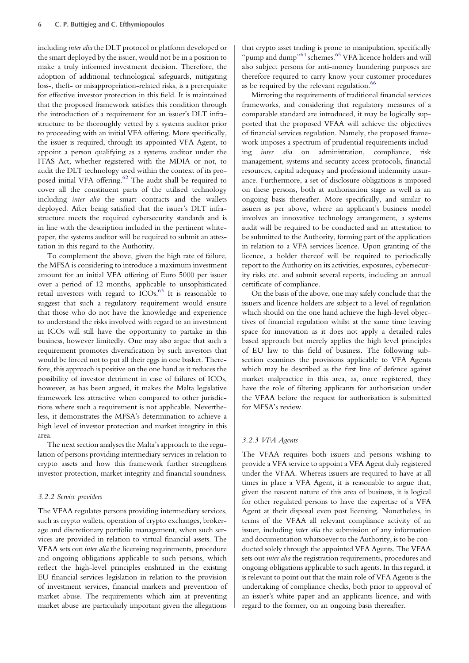including inter alia the DLT protocol or platform developed or the smart deployed by the issuer, would not be in a position to make a truly informed investment decision. Therefore, the adoption of additional technological safeguards, mitigating loss-, theft- or misappropriation-related risks, is a prerequisite for effective investor protection in this field. It is maintained that the proposed framework satisfies this condition through the introduction of a requirement for an issuer's DLT infrastructure to be thoroughly vetted by a systems auditor prior to proceeding with an initial VFA offering. More specifically, the issuer is required, through its appointed VFA Agent, to appoint a person qualifying as a systems auditor under the ITAS Act, whether registered with the MDIA or not, to audit the DLT technology used within the context of its pro-posed initial VFA offering.<sup>[62](#page-11-0)</sup> The audit shall be required to cover all the constituent parts of the utilised technology including inter alia the smart contracts and the wallets deployed. After being satisfied that the issuer's DLT infrastructure meets the required cybersecurity standards and is in line with the description included in the pertinent whitepaper, the systems auditor will be required to submit an attestation in this regard to the Authority.

To complement the above, given the high rate of failure, the MFSA is considering to introduce a maximum investment amount for an initial VFA offering of Euro 5000 per issuer over a period of 12 months, applicable to unsophisticated retail investors with regard to  $ICOs.63$  $ICOs.63$  It is reasonable to suggest that such a regulatory requirement would ensure that those who do not have the knowledge and experience to understand the risks involved with regard to an investment in ICOs will still have the opportunity to partake in this business, however limitedly. One may also argue that such a requirement promotes diversification by such investors that would be forced not to put all their eggs in one basket. Therefore, this approach is positive on the one hand as it reduces the possibility of investor detriment in case of failures of ICOs, however, as has been argued, it makes the Malta legislative framework less attractive when compared to other jurisdictions where such a requirement is not applicable. Nevertheless, it demonstrates the MFSA's determination to achieve a high level of investor protection and market integrity in this area.

The next section analyses the Malta's approach to the regulation of persons providing intermediary services in relation to crypto assets and how this framework further strengthens investor protection, market integrity and financial soundness.

## 3.2.2 Service providers

The VFAA regulates persons providing intermediary services, such as crypto wallets, operation of crypto exchanges, brokerage and discretionary portfolio management, when such services are provided in relation to virtual financial assets. The VFAA sets out inter alia the licensing requirements, procedure and ongoing obligations applicable to such persons, which reflect the high-level principles enshrined in the existing EU financial services legislation in relation to the provision of investment services, financial markets and prevention of market abuse. The requirements which aim at preventing market abuse are particularly important given the allegations

that crypto asset trading is prone to manipulation, specifically "pump and dump"<sup>[64](#page-11-0)</sup> schemes.<sup>[65](#page-11-0)</sup> VFA licence holders and will also subject persons for anti-money laundering purposes are therefore required to carry know your customer procedures as be required by the relevant regulation.<sup>[66](#page-11-0)</sup>

Mirroring the requirements of traditional financial services frameworks, and considering that regulatory measures of a comparable standard are introduced, it may be logically supported that the proposed VFAA will achieve the objectives of financial services regulation. Namely, the proposed framework imposes a spectrum of prudential requirements including inter alia on administration, compliance, risk management, systems and security access protocols, financial resources, capital adequacy and professional indemnity insurance. Furthermore, a set of disclosure obligations is imposed on these persons, both at authorisation stage as well as an ongoing basis thereafter. More specifically, and similar to issuers as per above, where an applicant's business model involves an innovative technology arrangement, a systems audit will be required to be conducted and an attestation to be submitted to the Authority, forming part of the application in relation to a VFA services licence. Upon granting of the licence, a holder thereof will be required to periodically report to the Authority on its activities, exposures, cybersecurity risks etc. and submit several reports, including an annual certificate of compliance.

On the basis of the above, one may safely conclude that the issuers and licence holders are subject to a level of regulation which should on the one hand achieve the high-level objectives of financial regulation whilst at the same time leaving space for innovation as it does not apply a detailed rules based approach but merely applies the high level principles of EU law to this field of business. The following subsection examines the provisions applicable to VFA Agents which may be described as the first line of defence against market malpractice in this area, as, once registered, they have the role of filtering applicants for authorisation under the VFAA before the request for authorisation is submitted for MFSA's review.

#### 3.2.3 VFA Agents

The VFAA requires both issuers and persons wishing to provide a VFA service to appoint a VFA Agent duly registered under the VFAA. Whereas issuers are required to have at all times in place a VFA Agent, it is reasonable to argue that, given the nascent nature of this area of business, it is logical for other regulated persons to have the expertise of a VFA Agent at their disposal even post licensing. Nonetheless, in terms of the VFAA all relevant compliance activity of an issuer, including inter alia the submission of any information and documentation whatsoever to the Authority, is to be conducted solely through the appointed VFA Agents. The VFAA sets out inter alia the registration requirements, procedures and ongoing obligations applicable to such agents. In this regard, it is relevant to point out that the main role of VFA Agents is the undertaking of compliance checks, both prior to approval of an issuer's white paper and an applicants licence, and with regard to the former, on an ongoing basis thereafter.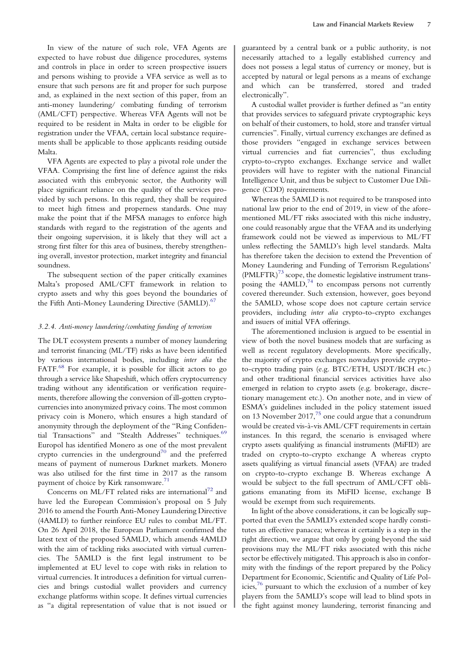In view of the nature of such role, VFA Agents are expected to have robust due diligence procedures, systems and controls in place in order to screen prospective issuers and persons wishing to provide a VFA service as well as to ensure that such persons are fit and proper for such purpose and, as explained in the next section of this paper, from an anti-money laundering/ combating funding of terrorism (AML/CFT) perspective. Whereas VFA Agents will not be required to be resident in Malta in order to be eligible for registration under the VFAA, certain local substance requirements shall be applicable to those applicants residing outside Malta.

VFA Agents are expected to play a pivotal role under the VFAA. Comprising the first line of defence against the risks associated with this embryonic sector, the Authority will place significant reliance on the quality of the services provided by such persons. In this regard, they shall be required to meet high fitness and properness standards. One may make the point that if the MFSA manages to enforce high standards with regard to the registration of the agents and their ongoing supervision, it is likely that they will act a strong first filter for this area of business, thereby strengthening overall, investor protection, market integrity and financial soundness.

The subsequent section of the paper critically examines Malta's proposed AML/CFT framework in relation to crypto assets and why this goes beyond the boundaries of the Fifth Anti-Money Laundering Directive (5AMLD).<sup>67</sup>

#### 3.2.4. Anti-money laundering/combating funding of terrorism

The DLT ecosystem presents a number of money laundering and terrorist financing (ML/TF) risks as have been identified by various international bodies, including inter alia the FATF.<sup>[68](#page-11-0)</sup> For example, it is possible for illicit actors to go through a service like Shapeshift, which offers cryptocurrency trading without any identification or verification requirements, therefore allowing the conversion of ill-gotten cryptocurrencies into anonymized privacy coins. The most common privacy coin is Monero, which ensures a high standard of anonymity through the deployment of the "Ring Confiden-tial Transactions" and "Stealth Addresses" techniques.<sup>[69](#page-11-0)</sup> Europol has identified Monero as one of the most prevalent crypto currencies in the underground<sup>[70](#page-11-0)</sup> and the preferred means of payment of numerous Darknet markets. Monero was also utilised for the first time in 2017 as the ransom payment of choice by Kirk ransomware.<sup>[71](#page-11-0)</sup>

Concerns on ML/FT related risks are international<sup>[72](#page-11-0)</sup> and have led the European Commission's proposal on 5 July 2016 to amend the Fourth Anti-Money Laundering Directive (4AMLD) to further reinforce EU rules to combat ML/FT. On 26 April 2018, the European Parliament confirmed the latest text of the proposed 5AMLD, which amends 4AMLD with the aim of tackling risks associated with virtual currencies. The 5AMLD is the first legal instrument to be implemented at EU level to cope with risks in relation to virtual currencies. It introduces a definition for virtual currencies and brings custodial wallet providers and currency exchange platforms within scope. It defines virtual currencies as "a digital representation of value that is not issued or

guaranteed by a central bank or a public authority, is not necessarily attached to a legally established currency and does not possess a legal status of currency or money, but is accepted by natural or legal persons as a means of exchange and which can be transferred, stored and traded electronically".

A custodial wallet provider is further defined as "an entity that provides services to safeguard private cryptographic keys on behalf of their customers, to hold, store and transfer virtual currencies". Finally, virtual currency exchanges are defined as those providers "engaged in exchange services between virtual currencies and fiat currencies", thus excluding crypto-to-crypto exchanges. Exchange service and wallet providers will have to register with the national Financial Intelligence Unit, and thus be subject to Customer Due Diligence (CDD) requirements.

Whereas the 5AMLD is not required to be transposed into national law prior to the end of 2019, in view of the aforementioned ML/FT risks associated with this niche industry, one could reasonably argue that the VFAA and its underlying framework could not be viewed as impervious to ML/FT unless reflecting the 5AMLD's high level standards. Malta has therefore taken the decision to extend the Prevention of Money Laundering and Funding of Terrorism Regulations'  $(PMLFTR)^{73}$  $(PMLFTR)^{73}$  $(PMLFTR)^{73}$  scope, the domestic legislative instrument transposing the  $4AMLD<sub>1</sub><sup>74</sup>$  $4AMLD<sub>1</sub><sup>74</sup>$  $4AMLD<sub>1</sub><sup>74</sup>$  to encompass persons not currently covered thereunder. Such extension, however, goes beyond the 5AMLD, whose scope does not capture certain service providers, including inter alia crypto-to-crypto exchanges and issuers of initial VFA offerings.

The aforementioned inclusion is argued to be essential in view of both the novel business models that are surfacing as well as recent regulatory developments. More specifically, the majority of crypto exchanges nowadays provide cryptoto-crypto trading pairs (e.g. BTC/ETH, USDT/BCH etc.) and other traditional financial services activities have also emerged in relation to crypto assets (e.g. brokerage, discretionary management etc.). On another note, and in view of ESMA's guidelines included in the policy statement issued on 13 November  $2017<sup>75</sup>$  $2017<sup>75</sup>$  $2017<sup>75</sup>$  one could argue that a conundrum would be created vis-à-vis AML/CFT requirements in certain instances. In this regard, the scenario is envisaged where crypto assets qualifying as financial instruments (MiFID) are traded on crypto-to-crypto exchange A whereas crypto assets qualifying as virtual financial assets (VFAA) are traded on crypto-to-crypto exchange B. Whereas exchange A would be subject to the full spectrum of AML/CFT obligations emanating from its MiFID license, exchange B would be exempt from such requirements.

In light of the above considerations, it can be logically supported that even the 5AMLD's extended scope hardly constitutes an effective panacea; whereas it certainly is a step in the right direction, we argue that only by going beyond the said provisions may the ML/FT risks associated with this niche sector be effectively mitigated. This approach is also in conformity with the findings of the report prepared by the Policy Department for Economic, Scientific and Quality of Life Policies,[76](#page-11-0) pursuant to which the exclusion of a number of key players from the 5AMLD's scope will lead to blind spots in the fight against money laundering, terrorist financing and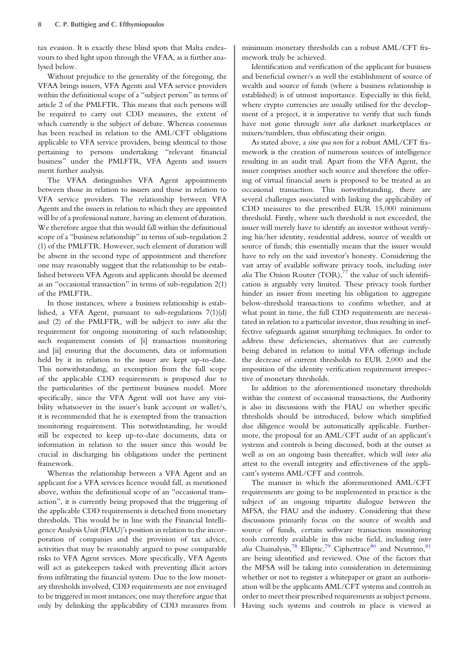tax evasion. It is exactly these blind spots that Malta endeavours to shed light upon through the VFAA, as is further analysed below.

Without prejudice to the generality of the foregoing, the VFAA brings issuers, VFA Agents and VFA service providers within the definitional scope of a "subject person" in terms of article 2 of the PMLFTR. This means that such persons will be required to carry out CDD measures, the extent of which currently is the subject of debate. Whereas consensus has been reached in relation to the AML/CFT obligations applicable to VFA service providers, being identical to those pertaining to persons undertaking "relevant financial business" under the PMLFTR, VFA Agents and issuers merit further analysis.

The VFAA distinguishes VFA Agent appointments between those in relation to issuers and those in relation to VFA service providers. The relationship between VFA Agents and the issuers in relation to which they are appointed will be of a professional nature, having an element of duration. We therefore argue that this would fall within the definitional scope of a "business relationship" in terms of sub-regulation 2 (1) of the PMLFTR. However, such element of duration will be absent in the second type of appointment and therefore one may reasonably suggest that the relationship to be established between VFA Agents and applicants should be deemed as an "occasional transaction" in terms of sub-regulation 2(1) of the PMLFTR.

In those instances, where a business relationship is established, a VFA Agent, pursuant to sub-regulations 7(1)(d) and (2) of the PMLFTR, will be subject to inter alia the requirement for ongoing monitoring of such relationship; such requirement consists of [i] transaction monitoring and [ii] ensuring that the documents, data or information held by it in relation to the issuer are kept up-to-date. This notwithstanding, an exemption from the full scope of the applicable CDD requirements is proposed due to the particularities of the pertinent business model. More specifically, since the VFA Agent will not have any visibility whatsoever in the issuer's bank account or wallet/s, it is recommended that he is exempted from the transaction monitoring requirement. This notwithstanding, he would still be expected to keep up-to-date documents, data or information in relation to the issuer since this would be crucial in discharging his obligations under the pertinent framework.

Whereas the relationship between a VFA Agent and an applicant for a VFA services licence would fall, as mentioned above, within the definitional scope of an "occasional transaction", it is currently being proposed that the triggering of the applicable CDD requirements is detached from monetary thresholds. This would be in line with the Financial Intelligence Analysis Unit (FIAU)'s position in relation to the incorporation of companies and the provision of tax advice, activities that may be reasonably argued to pose comparable risks to VFA Agent services. More specifically, VFA Agents will act as gatekeepers tasked with preventing illicit actors from infiltrating the financial system. Due to the low monetary thresholds involved, CDD requirements are not envisaged to be triggered in most instances; one may therefore argue that only by delinking the applicability of CDD measures from

minimum monetary thresholds can a robust AML/CFT framework truly be achieved.

Identification and verification of the applicant for business and beneficial owner/s as well the establishment of source of wealth and source of funds (where a business relationship is established) is of utmost importance. Especially in this field, where crypto currencies are usually utilised for the development of a project, it is imperative to verify that such funds have not gone through inter alia darknet marketplaces or mixers/tumblers, thus obfuscating their origin.

As stated above, a sine qua non for a robust AML/CFT framework is the creation of numerous sources of intelligence resulting in an audit trail. Apart from the VFA Agent, the issuer comprises another such source and therefore the offering of virtual financial assets is proposed to be treated as an occasional transaction. This notwithstanding, there are several challenges associated with linking the applicability of CDD measures to the prescribed EUR 15,000 minimum threshold. Firstly, where such threshold is not exceeded, the issuer will merely have to identify an investor without verifying his/her identity, residential address, source of wealth or source of funds; this essentially means that the issuer would have to rely on the said investor's honesty. Considering the vast array of available software privacy tools, including inter alia The Onion Router  $(TOR)$ ,  $\frac{77}{7}$  $\frac{77}{7}$  $\frac{77}{7}$  the value of such identification is arguably very limited. These privacy tools further hinder an issuer from meeting his obligation to aggregate below-threshold transactions to confirm whether, and at what point in time, the full CDD requirements are necessitated in relation to a particular investor, thus resulting in ineffective safeguards against smurphing techniques. In order to address these deficiencies, alternatives that are currently being debated in relation to initial VFA offerings include the decrease of current thresholds to EUR 2,000 and the imposition of the identity verification requirement irrespective of monetary thresholds.

In addition to the aforementioned monetary thresholds within the context of occasional transactions, the Authority is also in discussions with the FIAU on whether specific thresholds should be introduced, below which simplified due diligence would be automatically applicable. Furthermore, the proposal for an AML/CFT audit of an applicant's systems and controls is being discussed, both at the outset as well as on an ongoing basis thereafter, which will inter alia attest to the overall integrity and effectiveness of the applicant's systems AML/CFT and controls.

The manner in which the aforementioned AML/CFT requirements are going to be implemented in practice is the subject of an ongoing tripartite dialogue between the MFSA, the FIAU and the industry. Considering that these discussions primarily focus on the source of wealth and source of funds, certain software transaction monitoring tools currently available in this niche field, including inter alia Chainalysis,<sup>[78](#page-11-0)</sup> Elliptic,<sup>79</sup> Ciphertrace<sup>[80](#page-11-0)</sup> and Neutrino,<sup>[81](#page-11-0)</sup> are being identified and reviewed. One of the factors that the MFSA will be taking into consideration in determining whether or not to register a whitepaper or grant an authorisation will be the applicants AML/CFT systems and controls in order to meet their prescribed requirements as subject persons. Having such systems and controls in place is viewed as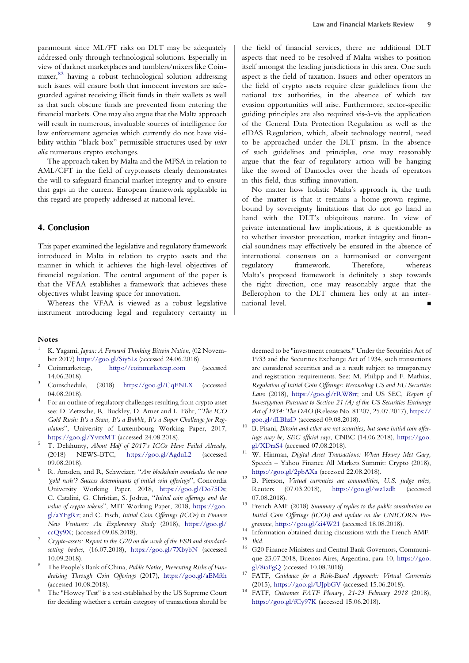<span id="page-9-0"></span>law enforcement agencies which currently do not have visibility within "black box" permissible structures used by inter alia numerous crypto exchanges. The approach taken by Malta and the MFSA in relation to

AML/CFT in the field of cryptoassets clearly demonstrates the will to safeguard financial market integrity and to ensure that gaps in the current European framework applicable in this regard are properly addressed at national level.

## 4. Conclusion

This paper examined the legislative and regulatory framework introduced in Malta in relation to crypto assets and the manner in which it achieves the high-level objectives of financial regulation. The central argument of the paper is that the VFAA establishes a framework that achieves these objectives whilst leaving space for innovation.

Whereas the VFAA is viewed as a robust legislative instrument introducing legal and regulatory certainty in

#### Notes

- K. Yagami, Japan: A Forward Thinking Bitcoin Nation, (02 Novem-
- ber 2017) <https://goo.gl/Siy5Ls> (accessed 24.06.2018). <sup>2</sup> Coinmarketcap, <https://coinmarketcap.com> (accessed
- 14.06.2018).<br>Coinschedule, (2018) <https://goo.gl/CqENLX> (accessed 04.08.2018).<br>For an outline of regulatory challenges resulting from crypto asset
- see: D. Zetzsche, R. Buckley, D. Arner and L. Föhr, "The ICO Gold Rush: It's a Scam, It's a Bubble, It's a Super Challenge for Regulators", University of Luxembourg Working Paper, 2017, <https://goo.gl/YvzxMT> (accessed 24.08.2018).<br>T. Delahunty, About Half of 2017's ICOs Have Failed Already,
- (2018) NEWS-BTC, <https://goo.gl/AgduL2> (accessed 09.08.2018).  $R$ . Amsden, and R, Schweizer, "Are blockchain crowdsales the new
- 'gold rush'? Success determinants of initial coin offerings", Concordia University Working Paper, 2018, [https://goo.gl/Do75Ds;](https://goo.gl/Do75Ds) C. Catalini, G. Christian, S. Joshua, "Initial coin offerings and the value of crypto tokens", MIT Working Paper, 2018, [https://goo.](https://goo.gl/aYFgRz) [gl/aYFgRz](https://goo.gl/aYFgRz); and C. Fisch, Initial Coin Offerings (ICOs) to Finance New Ventures: An Exploratory Study (2018), [https://goo.gl/](https://goo.gl/ccQy9X)
- [ccQy9X;](https://goo.gl/ccQy9X) (accessed 09.08.2018).<br>Crypto-assets: Report to the G20 on the work of the FSB and standardsetting bodies, (16.07.2018), <https://goo.gl/7XbybN> (accessed
- 10.09.2018).<br>The People's Bank of China, *Public Notice, Preventing Risks of Fun*draising Through Coin Offerings (2017), <https://goo.gl/aEMfth>
- (accessed 10.08.2018).<br>The "Howey Test" is a test established by the US Supreme Court for deciding whether a certain category of transactions should be

the field of financial services, there are additional DLT aspects that need to be resolved if Malta wishes to position itself amongst the leading jurisdictions in this area. One such aspect is the field of taxation. Issuers and other operators in the field of crypto assets require clear guidelines from the national tax authorities, in the absence of which tax evasion opportunities will arise. Furthermore, sector-specific guiding principles are also required vis-à-vis the application of the General Data Protection Regulation as well as the eIDAS Regulation, which, albeit technology neutral, need to be approached under the DLT prism. In the absence of such guidelines and principles, one may reasonably argue that the fear of regulatory action will be hanging like the sword of Damocles over the heads of operators in this field, thus stifling innovation.

No matter how holistic Malta's approach is, the truth of the matter is that it remains a home-grown regime, bound by sovereignty limitations that do not go hand in hand with the DLT's ubiquitous nature. In view of private international law implications, it is questionable as to whether investor protection, market integrity and financial soundness may effectively be ensured in the absence of international consensus on a harmonised or convergent regulatory framework. Therefore, whereas Malta's proposed framework is definitely a step towards the right direction, one may reasonably argue that the Bellerophon to the DLT chimera lies only at an international level.

deemed to be "investment contracts." Under the Securities Act of 1933 and the Securities Exchange Act of 1934, such transactions are considered securities and as a result subject to transparency and registration requirements. See: M. Philipp and F. Mathias, Regulation of Initial Coin Offerings: Reconciling US and EU Securities Laws (2018), <https://goo.gl/rRW8rr>; and US SEC, Report of Investigation Pursuant to Section 21 (A) of the US Securities Exchange Act of 1934: The DAO (Release No. 81207, 25.07.2017), [https://](https://goo.gl/dLBhzD)

- [goo.gl/dLBhzD](https://goo.gl/dLBhzD) (accessed 09.08.2018).<br><sup>10</sup> B. Pisani, Bitcoin and ether are not securities, but some initial coin offerings may be, SEC official says, CNBC (14.06.2018), [https://goo.](https://goo.gl/XDraS4)
- [gl/XDraS4](https://goo.gl/XDraS4) (accessed 07.08.2018). 11 W. Hinman, *Digital Asset Transactions: When Howey Met Gary*, Speech – Yahoo Finance All Markets Summit: Crypto (2018),
- <https://goo.gl/2pbAXa> (accessed 22.08.2018).<br><sup>12</sup> B. Pierson, *Virtual currencies are commodities*, U.S. judge rules, Reuters (07.03.2018), <https://goo.gl/wz1zdh> (accessed
- 07.08.2018).<br><sup>13</sup> French AMF (2018) Summary of replies to the public consultation on Initial Coin Offerings (ICOs) and update on the UNICORN Pro-
- gramme, <https://goo.gl/ki4W21> (accessed 18.08.2018).<br><sup>14</sup> Information obtained during discussions with the French AMF.<br><sup>15</sup> Ibid. 16 G20 Finance Ministers and Central Bank Governors, Communi-
- que 23.07.2018, Buenos Aires, Argentina, para 10, [https://goo.](https://goo.gl/8iaFgQ) [gl/8iaFgQ](https://goo.gl/8iaFgQ) (accessed 10.08.2018).<br><sup>17</sup> FATF, Guidance for a Risk-Based Approach: Virtual Currencies
- 
- (2015), <https://goo.gl/UJpbGV> (accessed 15.06.2018).<br><sup>18</sup> FATF, *Outcomes FATF Plenary*, 21-23 February 2018 (2018), <https://goo.gl/fCy97K> (accessed 15.06.2018).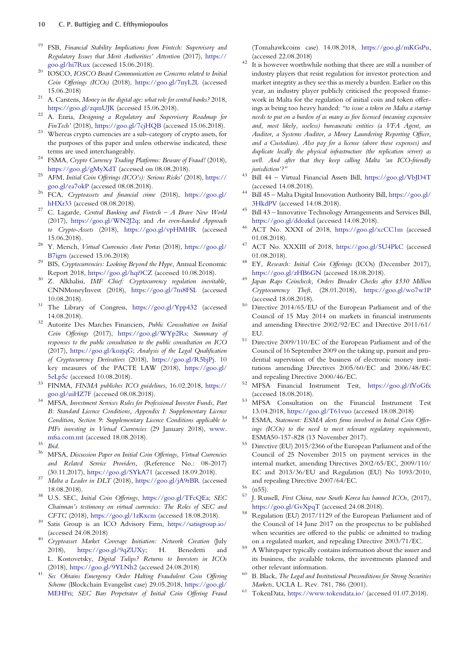- <span id="page-10-0"></span><sup>19</sup> FSB, Financial Stability Implications from Fintech: Supervisory and Regulatory Issues that Merit Authorities' Attention (2017), [https://](https://goo.gl/hi7Rux)
- [goo.gl/hi7Rux](https://goo.gl/hi7Rux) (accessed 15.06.2018).<br><sup>20</sup> IOSCO, IOSCO Board Communication on Concerns related to Initial Coin Offerings (ICOs) (2018), <https://goo.gl/7nyL2L> (accessed 15.06.2018)<br><sup>21</sup> A. Carstens, *Money in the digital age: what role for central banks?* 2018,
- <https://goo.gl/zqmUJK> (accessed 15.06.2018).<br><sup>22</sup> A. Enria, *Designing a Regulatory and Supervisory Roadmap for*
- 
- FinTech' (2018), <https://goo.gl/7cjHQB> (accessed 15.06.2018). Whereas crypto currencies are a sub-category of crypto assets, for the purposes of this paper and unless otherwise indicated, these
- terms are used interchangeably.<br><sup>24</sup> FSMA, *Crypto Currency Trading Platforms: Beware of Fraud!* (2018),
- <https://goo.gl/gMyXdT> (accessed on 08.08.2018). <sup>25</sup> AFM, Initial Coin Offerings (ICO's): Serious Risks' (2018), [https://](https://goo.gl/ea7okP)
- <sup>26</sup> FCA, *Cryptoassets and financial crime* (2018), [https://goo.gl/](https://goo.gl/hHXr33)<br>hHXr33 (accessed 08.08.2018).
- <sup>27</sup> C. Lagarde, Central Banking and Fintech A Brave New World (2017), [https://goo.gl/WN2J2q;](https://goo.gl/WN2J2q) and An even-handed Approach to Crypto-Assets (2018), <https://goo.gl/vpHMHR> (accessed 15.06.2018).<br><sup>28</sup> Y. Mersch, *Virtual Currencies Ante Portas* (2018), [https://goo.gl/](https://goo.gl/B7igrn)
- [B7igrn](https://goo.gl/B7igrn) (accessed 15.06.2018)<br><sup>29</sup> BIS, *Cryptocurrencies: Looking Beyond the Hype*, Annual Economic
- 
- Report 2018, <https://goo.gl/hqi9CZ> (accessed 10.08.2018).<br><sup>30</sup> Z. Alkhalisi, *IMF Chief: Cryptocurrency regulation inevitable*, CNNMoneyInvest (2018), <https://goo.gl/7m8FSL> (accessed 10.08.2018). <sup>31</sup> The Library of Congress, <https://goo.gl/Ypp432> (accessed
- 14.08.2018). <sup>32</sup> Autorite Des Marches Financiers, Public Consultation on Initial
- Coin Offerings (2017), <https://goo.gl/WYp2Rs>; Summary of responses to the public consultation to the public consultation on ICO (2017), [https://goo.gl/kozjqG;](https://goo.gl/kozjqG) Analysis of the Legal Qualification of Cryptocurrency Derivatives (2018), <https://goo.gl/R5bjPj>. 10 key measures of the PACTE LAW (2018), [https://goo.gl/](https://goo.gl/5eLp5c)
- [5eLp5c](https://goo.gl/5eLp5c) (accessed 10.08.2018). <sup>33</sup> FINMA, FINMA publishes ICO guidelines, 16.02.2018, [https://](https://goo.gl/uiHZ7F) [goo.gl/uiHZ7F](https://goo.gl/uiHZ7F) (accessed 08.08.2018). <sup>34</sup> MFSA, Investment Services Rules for Professional Investor Funds, Part
- B: Standard Licence Conditions, Appendix I: Supplementary Licence Condition, Section 9: Supplementary Licence Conditions applicable to PIFs investing in Virtual Currencies (29 January 2018), [www.](www.mfsa.com.mt)
- 
- [mfsa.com.mt](www.mfsa.com.mt) (accessed 18.08.2018). <sup>35</sup> Ibid. <sup>36</sup> MFSA, Discussion Paper on Initial Coin Offerings, Virtual Currencies and Related Service Providers, (Reference No.: 08-2017)
- (30.11.2017), <https://goo.gl/SYkA71> (accessed 18.09.2018). <sup>37</sup> Malta a Leader in DLT (2018), <https://goo.gl/jA9rBR> (accessed
- 18.08.2018). <sup>38</sup> U.S. SEC, Initial Coin Offerings, <https://goo.gl/TFcQEa>; SEC Chairman's testimony on virtual currencies: The Roles of SEC and CFTC (2018), <https://goo.gl/1zKxcm> (accessed 18.08.2018). <sup>39</sup> Satis Group is an ICO Advisory Firm, <https://satisgroup.io/>
- (accessed 24.08.2018) <sup>40</sup> Cryptoasset Market Coverage Initiation: Network Creation (July
- 2018), [https://goo.gl/9qZUXy;](https://goo.gl/9qZUXy) H. Benedetti and L. Kostovetsky, Digital Tulips? Returns to Investors in ICOs
- (2018), <https://goo.gl/9YLNh2> (accessed 24.08.2018) <sup>41</sup> Sec Obtains Emergency Order Halting Fraudulent Coin Offering Scheme (Blockchain Evangelist case) 29.05.2018, [https://goo.gl/](https://goo.gl/MEHFri) [MEHFri](https://goo.gl/MEHFri); SEC Bars Perpetrator of Initial Coin Offering Fraud

(Tomahawkcoins case) 14.08.2018, <https://goo.gl/mKGsPu>,

- (accessed 22.08.2018) <sup>42</sup> It is however worthwhile nothing that there are still a number of industry players that resist regulation for investor protection and market integrity as they see this as merely a burden. Earlier on this year, an industry player publicly criticised the proposed framework in Malta for the regulation of initial coin and token offerings as being too heavy handed: "to issue a token on Malta a startup needs to put on a burden of as many as five licensed (meaning expensive and, most likely, useless) bureaucratic entities (a VFA Agent, an Auditor, a Systems Auditor, a Money Laundering Reporting Officer, and a Custodian). Also pay for a license (above those expenses) and duplicate locally the physical infrastructure (the replication server) as well. And after that they keep calling Malta 'an ICO-friendly
- jurisdiction'?" <sup>43</sup> Bill 44 Virtual Financial Assets Bill, <https://goo.gl/VbJD4T>
- (accessed 14.08.2018). <sup>44</sup> Bill 45 Malta Digital Innovation Authority Bill, [https://goo.gl/](https://goo.gl/3HkdPV)
- $$\,$  [3HkdPV](https://goo.gl/3HkdPV) (accessed 14.08.2018).  $$\,$   $\,$  45  $\,$  Bill 43 Innovative Technology Arrangements and Services Bill, <https://goo.gl/ddozkd> (accessed 14.08.2018). <sup>46</sup> ACT No. XXXI of 2018, <https://goo.gl/xcCC1m> (accessed
- 
- 01.08.2018).  $^{47}$  ACT No. XXXIII of 2018, <https://goo.gl/5U4PkC> (accessed 01.08.2018). <sup>48</sup> EY, Research: Initial Coin Offerings (ICOs) (December 2017),
- 
- <https://goo.gl/zHB6GN> (accessed 18.08.2018). <sup>49</sup> Japan Raps Coincheck, Orders Broader Checks after \$530 Million Cryptocurrency Theft, (28.01.2018), <https://goo.gl/wo7w1P>
- (accessed 18.08.2018). <sup>50</sup> Directive 2014/65/EU of the European Parliament and of the Council of 15 May 2014 on markets in financial instruments and amending Directive 2002/92/EC and Directive 2011/61/
- EU. <sup>51</sup> Directive 2009/110/EC of the European Parliament and of the Council of 16 September 2009 on the taking up, pursuit and prudential supervision of the business of electronic money institutions amending Directives 2005/60/EC and 2006/48/EC
- and repealing Directive 2000/46/EC. <sup>52</sup> MFSA Financial Instrument Test, <https://goo.gl/fVoGfx> (accessed 18.08.2018). <sup>53</sup> MFSA Consultation on the Financial Instrument Test
- 13.04.2018, <https://goo.gl/T61vuo> (accessed 18.08.2018)<br>ESMA, *Statement: ESMA alerts firms involved in Initial Coin Offer-*
- ings (ICOs) to the need to meet relevant regulatory requirements,
- ESMA50-157-828 (13 November 2017). <sup>55</sup> Directive (EU) 2015/2366 of the European Parliament and of the Council of 25 November 2015 on payment services in the internal market, amending Directives 2002/65/EC, 2009/110/ EC and 2013/36/EU and Regulation (EU) No 1093/2010,
- and repealing Directive 2007/64/EC.<br>
<sup>56</sup> (n55).<br>
<sup>57</sup> J. Russell, *First China, now South Korea has banned ICOs*, (2017), <https://goo.gl/GvXpqT> (accessed 24.08.2018).<br>Regulation (EU) 2017/1129 of the European Parliament and of
- the Council of 14 June 2017 on the prospectus to be published when securities are offered to the public or admitted to trading
- on a regulated market, and repealing Directive 2003/71/EC. <sup>59</sup> A Whitepaper typically contains information about the issuer and its business, the available tokens, the investments planned and other relevant information.<br><sup>60</sup> B. Black, *The Legal and Institutional Preconditions for Strong Securities*
- 
- Markets, UCLA L. Rev. 781, 786 (2001). <sup>61</sup> TokenData, <https://www.tokendata.io/> (accessed 01.07.2018).